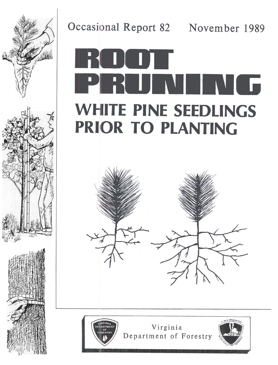

# Occasional Report 82 November 1989 **WHITE PINE SEEDLINGS PRIOR TO PLANTING**





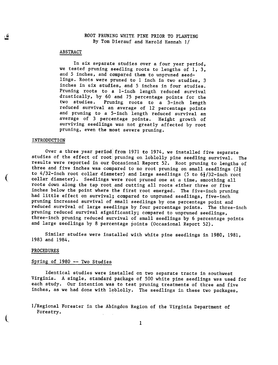## ABSTRACT

In six separate studies over a four year period, we tested pruning seedling roots to lengths of 1, 3, and 5 inches, and compared them to unpruned seedlings. Roots were pruned to 1 inch in two studies, 3 inches in six studies, and 5 inches in four studies. Pruning roots to a 1-inch length reduced survival drastically, by 60 and 75 percentage points for the two studies. Pruning roots to a 3-inch length reduced survival an average of 12 percentage points and pruning to a 5-inch length reduced survival an average of 3 percentage points. Height growth of surviving seedlings was not greatly affected by root pruning, even the most severe pruning.

### INTRODUCTION

(

l

Over a three year period from 1971 to 1974, we installed five separa studies of the effect of root pruning on loblolly pine seedling survival. The results were reported in our Occasional Report 52. Root pruning to lengths of three and five inches was compared to no root pruning on small seedlings  $(2\frac{1}{2})$ to  $4/32$ -inch root collar diameter) and large seedlings (5 to  $6\frac{1}{2}/32$ -inch root collar diameter). Seedlings were root pruned one at a time, smoothing all roots down along the tap root and cutting all roots either three or five inches below the point where the first root emerged. The five-inch pruning had little effect on survival; compared to unpruned seedlings, five-inch pruning increased survival of small seedlings by one percentage point and reduced survival of large seedlings by four percentage points. The three-inch pruning reduced survival significantly; compared to unpruned seedlings, three-inch pruning reduced survival of small seedlings by 6 percentage points and large seedlings by 8 percentage points (Occasional Report 52).

Similar studies were installed with white pine seedlings in 1980, 1981, 1983 and 1984.

#### PROCEDURES

### Spring of 1980 --Two Studies

Identical studies were installed on two separate tracts in southwest Virginia. A single, standard package of 500 white pine seedlings was used for each study. Our intention was to test pruning treatments of three and five inches, as we had done with loblolly. The seedlings in these two packages,

l/Regional Forester in the Abingdon Region of the Virginia Department of Forestry.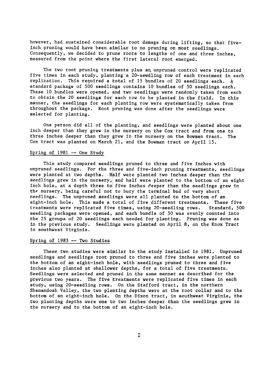however, had sustained considerable root damage during lifting, so that fiveinch pruning would have been similar to no pruning on most seedlings. Consequently, we decided to prune roots to lengths of one and three inches, measured from the point where the first lateral root emerged.

The two root pruning treatments plus an unpruned control were replicated five times in each study, planting a 20-seedling row of each treatment in each replication. This required a total of 15 bundles of 20 seedlings each.  $A$ standard package of 500 seedlings contains 10 bundles of 50 seedlings each. These 10 bundles were opened, and two seedlings were randomly taken from each to obtain the 20 seedlings for each row to be planted in the field. In this manner, the seedlings for each planting row were systematically taken from throughout the package. Root pruning was done after the seedlings were selected for planting.

One person did all of the planting, and seedlings were planted about one inch deeper than they grew in the nursery on the Cox tract and from one to three inches deeper than they grew in the nursery on the Bowman tract. The Cox tract was planted on March 21, and the Bowman tract on April 15.

# Spring of  $1981$  -- One Study

This study compared seed11ngs pruned to three and five inches with unpruned seedlings. For the three and five-inch pruning treatments, seedlings were planted at two depths. Half were planted two inches deeper than the seedlings grew in the nursery, and half were planted to the bottom of an eight inch hole, at a depth three to five inches deeper than the seedlings grew in the nursery, being careful not to bury the terminal bud of very short seedlings. The unpruned seedlings were all planted to the bottom of an eight-inch hole. This made a total of five different treatments. These five treatments were replicated five times, using 20-seedling rows. Standard,500 seedling packages were opened, and each bundle of 50 was evenly counted into the 25 groups of 20 seedlings each needed for planting. Pruning was done as in the previous study. Seedlings were planted on April 8, on the Knox Tract in southwest Virginia.

# Spring of 1983 --Two Studies

These two studies were similar to the study installed in 1981. Unpruned seedlings and seedlings root pruned to three and five inches were planted to the bottom of an eight-inch hole, with seedlings pruned to three and five inches also planted at shallower depths, fot a total of five treatments. Seedlings were selected and pruned in the same manner as described for the previous two years. The five treatments were replicated five times in each study, using 2O-seedling rows. On the Stafford tract, in the northern Shenandoah Valley, the two planting depths were at the root collar and to the bottom of an eight-inch hole. On the Dixon tract, in southwest Virginia, the two planting depths were one to two inches deeper than the seedlings grew in the nursery and to the bottom of an eight-inch hole.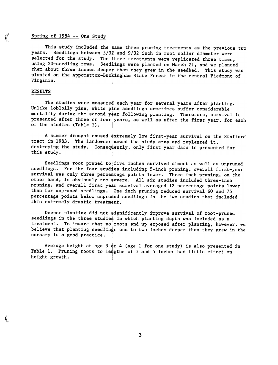# $($  Spring of 1984 -- One Study

This study included the same three pruning treatments as the previous two years. Seedlings between 5/32 and 9/32 inch in root collar diameter were selected for the study. The three treatments were replicated three times, using 20-seedling rows. Seedlings were planted on March 21, and we planted them about three inches deeper than they grew in the seedbed. This study was planted on the Appomattox-Buckingham State Forest in the central Piedmont of Virginia.

## RESULTS

t

The studies were measured each year for several years after planting. Unlike loblolly pine, white pine seedlings sometimes suffer considerable mortality during the second year following planting. Therefore, survival is presented after three or four years, as well as after the first year, for each of the studies (Table 1).

A summer drought caused extremely low first-year survival on the Stafford tract in 1983. The landowner mowed the study area and replanted it, destroying the study. Consequently, only first year data is presented for this study.

Seedlings root pruned to five inches survived almost as well as unpruned seedlings. For the four studies including 5-inch pruning, overall first-year survival was only three percentage points lower. Three inch pruning, on the other hand, is obviously too severe. All six studies included three-inch pruning, and overall first year survival averaged 12 percentage points lower than for unpruned seedlings. One inch pruning reduced survival 60 and 75 percentage points below unpruned seedlings in the two studies that included this extremely drastic treatment.

Deeper planting did not significantly improve survival of root-pruned seedlings in the three studies in which planting depth was included as a treatment. To insure that no roots end up exposed after planting. however. we believe that planting seedlings one to two inches deeper than they grew in the nursery is a good practice.

Average height at age  $3$  or 4 (age 1 for one study) is also presented in Table 1. Pruning roots to lengths of 3 and 5 inches had little effect on height growth.

3